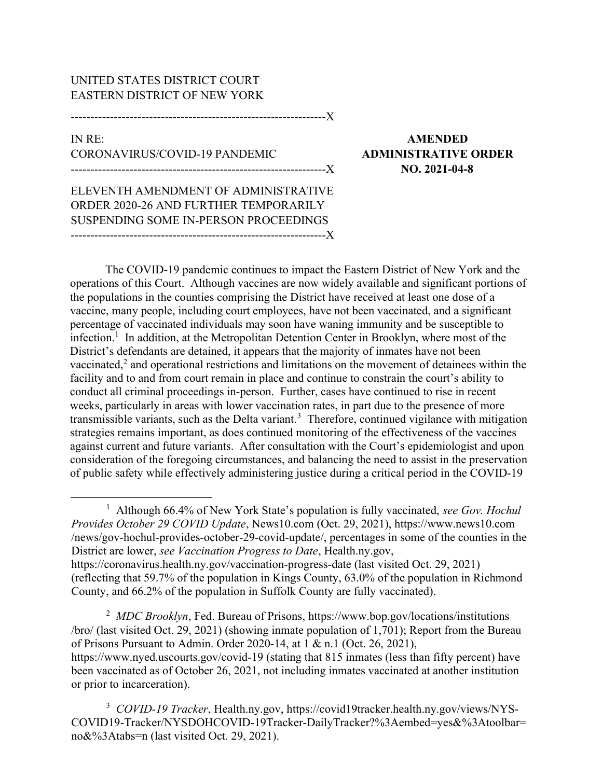## UNITED STATES DISTRICT COURT EASTERN DISTRICT OF NEW YORK

-----------------------------------------------------------------X

IN RE: AMENDED CORONAVIRUS/COVID-19 PANDEMIC ADMINISTRATIVE ORDER

-----------------------------------------------------------------X NO. 2021-04-8

ELEVENTH AMENDMENT OF ADMINISTRATIVE ORDER 2020-26 AND FURTHER TEMPORARILY SUSPENDING SOME IN-PERSON PROCEEDINGS -----------------------------------------------------------------X

The COVID-19 pandemic continues to impact the Eastern District of New York and the operations of this Court. Although vaccines are now widely available and significant portions of the populations in the counties comprising the District have received at least one dose of a vaccine, many people, including court employees, have not been vaccinated, and a significant percentage of vaccinated individuals may soon have waning immunity and be susceptible to infection.<sup>1</sup> In addition, at the Metropolitan Detention Center in Brooklyn, where most of the District's defendants are detained, it appears that the majority of inmates have not been vaccinated,<sup>2</sup> and operational restrictions and limitations on the movement of detainees within the facility and to and from court remain in place and continue to constrain the court's ability to conduct all criminal proceedings in-person. Further, cases have continued to rise in recent weeks, particularly in areas with lower vaccination rates, in part due to the presence of more transmissible variants, such as the Delta variant.<sup>3</sup> Therefore, continued vigilance with mitigation strategies remains important, as does continued monitoring of the effectiveness of the vaccines against current and future variants. After consultation with the Court's epidemiologist and upon consideration of the foregoing circumstances, and balancing the need to assist in the preservation of public safety while effectively administering justice during a critical period in the COVID-19

<sup>1</sup> Although 66.4% of New York State's population is fully vaccinated, see Gov. Hochul Provides October 29 COVID Update, News10.com (Oct. 29, 2021), https://www.news10.com /news/gov-hochul-provides-october-29-covid-update/, percentages in some of the counties in the District are lower, see Vaccination Progress to Date, Health.ny.gov, https://coronavirus.health.ny.gov/vaccination-progress-date (last visited Oct. 29, 2021) (reflecting that 59.7% of the population in Kings County, 63.0% of the population in Richmond County, and 66.2% of the population in Suffolk County are fully vaccinated).

<sup>2</sup> MDC Brooklyn, Fed. Bureau of Prisons, https://www.bop.gov/locations/institutions /bro/ (last visited Oct. 29, 2021) (showing inmate population of 1,701); Report from the Bureau of Prisons Pursuant to Admin. Order 2020-14, at 1 & n.1 (Oct. 26, 2021), https://www.nyed.uscourts.gov/covid-19 (stating that 815 inmates (less than fifty percent) have been vaccinated as of October 26, 2021, not including inmates vaccinated at another institution or prior to incarceration).

<sup>3</sup> COVID-19 Tracker, Health.ny.gov, https://covid19tracker.health.ny.gov/views/NYS-COVID19-Tracker/NYSDOHCOVID-19Tracker-DailyTracker?%3Aembed=yes&%3Atoolbar= no&%3Atabs=n (last visited Oct. 29, 2021).